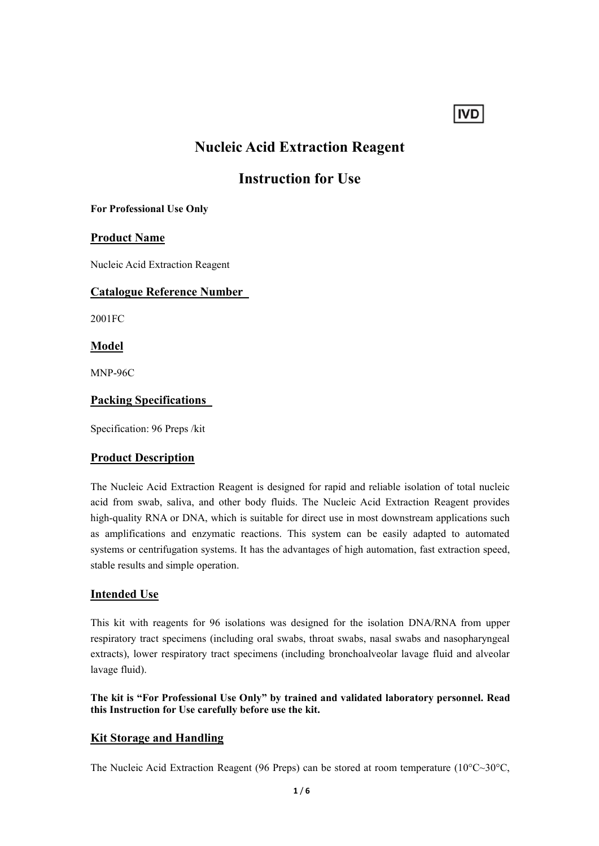# **IVD**

# **Nucleic Acid Extraction Reagent**

# **Instruction for Use**

### **For Professional Use Only**

# **Product Name**

Nucleic Acid Extraction Reagent

# **Catalogue Reference Number**

2001FC

**Model**

MNP-96C

# **Packing Specifications**

Specification: 96 Preps /kit

# **Product Description**

The Nucleic Acid Extraction Reagent is designed for rapid and reliable isolation of total nucleic acid from swab, saliva, and other body fluids. The Nucleic Acid Extraction Reagent provides high-quality RNA or DNA, which is suitable for direct use in most downstream applications such as amplifications and enzymatic reactions. This system can be easily adapted to automated systems or centrifugation systems. It has the advantages of high automation, fast extraction speed, stable results and simple operation.

# **Intended Use**

This kit with reagents for 96 isolations was designed for the isolation DNA/RNA from upper respiratory tract specimens (including oral swabs, throat swabs, nasal swabs and nasopharyngeal extracts), lower respiratory tract specimens (including bronchoalveolar lavage fluid and alveolar lavage fluid).

**The kit is "For Professional Use Only" by trained and validated laboratory personnel.Read this Instruction for Use carefully before use the kit.**

# **Kit Storage and Handling**

The Nucleic Acid Extraction Reagent (96 Preps) can be stored at room temperature (10°C~30°C,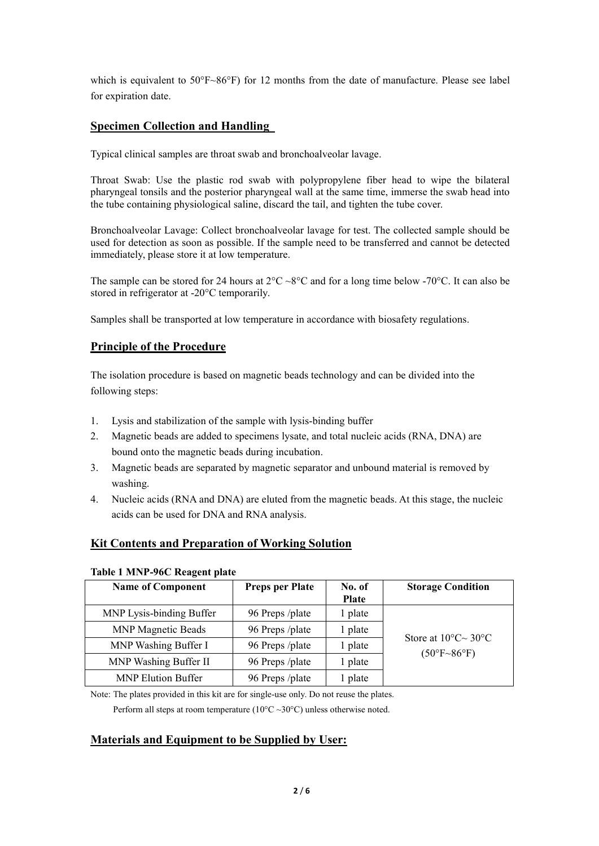which is equivalent to 50°F~86°F) for 12 months from the date of manufacture. Please see label for expiration date.

# **Specimen Collection and Handling**

Typical clinical samples are throat swab and bronchoalveolar lavage.

Throat Swab: Use the plastic rod swab with polypropylene fiber head to wipe the bilateral pharyngeal tonsils and the posterior pharyngeal wall at the same time, immerse the swab head into the tube containing physiological saline, discard the tail, and tighten the tube cover.

Bronchoalveolar Lavage: Collect bronchoalveolar lavage for test. The collected sample should be used for detection as soon as possible. If the sample need to be transferred and cannot be detected immediately, please store it at low temperature.

The sample can be stored for 24 hours at  $2^{\circ}C \sim 8^{\circ}C$  and for a long time below -70°C. It can also be stored in refrigerator at -20°C temporarily.

Samples shall be transported at low temperature in accordance with biosafety regulations.

# **Principle of the Procedure**

The isolation procedure is based on magnetic beads technology and can be divided into the following steps:

- 1. Lysis and stabilization of the sample with lysis-binding buffer
- 2. Magnetic beads are added to specimens lysate, and total nucleic acids (RNA, DNA) are
- bound onto the magnetic beads during incubation.<br>3. Magnetic beads are separated by magnetic separator and unbound material is removed by washing.
- 4. Nucleic acids (RNA and DNA) are eluted from the magnetic beads. At this stage, the nucleic acids can be used for DNA and RNA analysis.

# **Kit Contents and Preparation of Working Solution**

| <b>Name of Component</b>  | <b>Preps per Plate</b> | No. of       | <b>Storage Condition</b>                                                        |
|---------------------------|------------------------|--------------|---------------------------------------------------------------------------------|
|                           |                        | <b>Plate</b> |                                                                                 |
| MNP Lysis-binding Buffer  | 96 Preps /plate        | l plate      |                                                                                 |
| <b>MNP Magnetic Beads</b> | 96 Preps /plate        | l plate      |                                                                                 |
| MNP Washing Buffer I      | 96 Preps /plate        | l plate      | Store at $10^{\circ}$ C $\sim$ 30 $^{\circ}$ C<br>$(50^{\circ}F - 86^{\circ}F)$ |
| MNP Washing Buffer II     | 96 Preps /plate        | l plate      |                                                                                 |
| <b>MNP Elution Buffer</b> | 96 Preps /plate        | plate        |                                                                                 |

#### **Table 1 MNP-96C Reagent plate**

Note: The plates provided in this kit are for single-use only. Do not reuse the plates.

Perform all steps at room temperature ( $10^{\circ}$ C ~30°C) unless otherwise noted.

#### **Materials and Equipment to be Supplied by User:**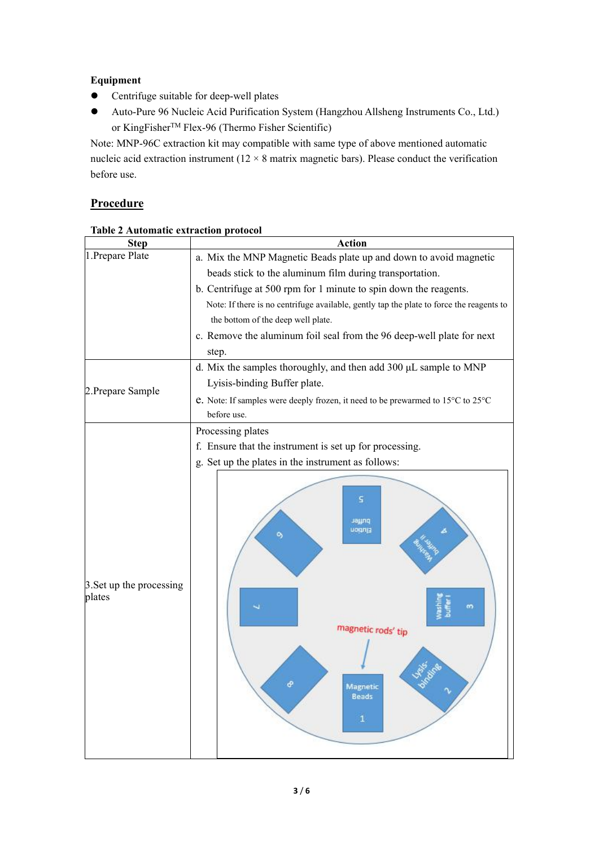# **Equipment**

- Centrifuge suitable for deep-well plates
- Auto-Pure 96 Nucleic Acid Purification System (Hangzhou Allsheng Instruments Co., Ltd.) or KingFisherTM Flex-96 (Thermo Fisher Scientific)

Note: MNP-96C extraction kit may compatible with same type of above mentioned automatic nucleic acid extraction instrument ( $12 \times 8$  matrix magnetic bars). Please conduct the verification before use.

# **Procedure**

| <b>Table 2 Automatic extraction protocol</b> |  |
|----------------------------------------------|--|
|                                              |  |

| <b>Action</b>                                                                                          |  |  |  |  |  |
|--------------------------------------------------------------------------------------------------------|--|--|--|--|--|
| a. Mix the MNP Magnetic Beads plate up and down to avoid magnetic                                      |  |  |  |  |  |
| beads stick to the aluminum film during transportation.                                                |  |  |  |  |  |
| b. Centrifuge at 500 rpm for 1 minute to spin down the reagents.                                       |  |  |  |  |  |
| Note: If there is no centrifuge available, gently tap the plate to force the reagents to               |  |  |  |  |  |
| the bottom of the deep well plate.                                                                     |  |  |  |  |  |
| c. Remove the aluminum foil seal from the 96 deep-well plate for next                                  |  |  |  |  |  |
| step.                                                                                                  |  |  |  |  |  |
| d. Mix the samples thoroughly, and then add 300 µL sample to MNP                                       |  |  |  |  |  |
| Lyisis-binding Buffer plate.                                                                           |  |  |  |  |  |
| e. Note: If samples were deeply frozen, it need to be prewarmed to 15°C to 25°C                        |  |  |  |  |  |
| before use.                                                                                            |  |  |  |  |  |
| Processing plates                                                                                      |  |  |  |  |  |
| f. Ensure that the instrument is set up for processing.                                                |  |  |  |  |  |
| g. Set up the plates in the instrument as follows:                                                     |  |  |  |  |  |
| s<br>pnyet<br>nodula<br>ö,<br>m<br>magnetic rods' tip<br>୫<br>Magnetic<br><b>Beads</b><br>$\mathbf{1}$ |  |  |  |  |  |
|                                                                                                        |  |  |  |  |  |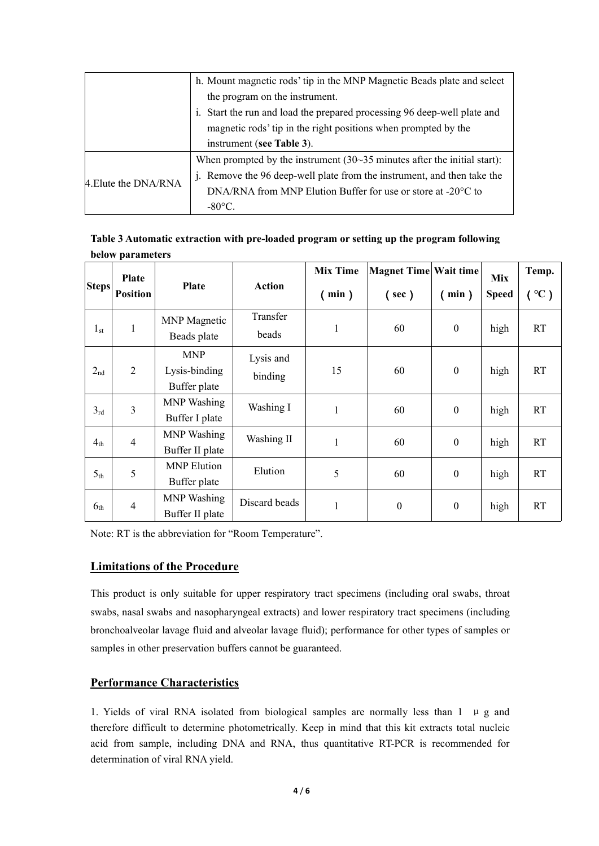|                      | h. Mount magnetic rods' tip in the MNP Magnetic Beads plate and select      |
|----------------------|-----------------------------------------------------------------------------|
|                      | the program on the instrument.                                              |
|                      | i. Start the run and load the prepared processing 96 deep-well plate and    |
|                      | magnetic rods' tip in the right positions when prompted by the              |
|                      | instrument (see Table 3).                                                   |
|                      | When prompted by the instrument $(30-35)$ minutes after the initial start): |
| 4. Elute the DNA/RNA | j. Remove the 96 deep-well plate from the instrument, and then take the     |
|                      | DNA/RNA from MNP Elution Buffer for use or store at $-20^{\circ}$ C to      |
|                      | $-80^{\circ}$ C.                                                            |
|                      |                                                                             |

| Table 3 Automatic extraction with pre-loaded program or setting up the program following |
|------------------------------------------------------------------------------------------|
| below parameters                                                                         |

|                 | Plate           |                 |                   | <b>Mix Time</b> | Magnet Time Wait time |                  | <b>Mix</b>   | Temp.             |
|-----------------|-----------------|-----------------|-------------------|-----------------|-----------------------|------------------|--------------|-------------------|
| Steps           | <b>Position</b> | <b>Plate</b>    | <b>Action</b>     | min)            | $($ sec $)$           | min)             | <b>Speed</b> | $\rm ^{\circ}C$ ) |
| $1_{\rm st}$    |                 | MNP Magnetic    | Transfer<br>beads |                 | 60                    | $\boldsymbol{0}$ | high         | <b>RT</b>         |
|                 |                 | Beads plate     |                   |                 |                       |                  |              |                   |
|                 |                 | <b>MNP</b>      | Lysis and         |                 |                       |                  |              |                   |
| $2_{nd}$        | $\overline{2}$  | Lysis-binding   | binding           | 15              | 60                    | $\boldsymbol{0}$ | high         | <b>RT</b>         |
|                 |                 | Buffer plate    |                   |                 |                       |                  |              |                   |
| 3 <sub>rd</sub> | $\overline{3}$  | MNP Washing     | Washing I         | $\mathbf{I}$    | 60                    | $\boldsymbol{0}$ | high         | RT                |
|                 |                 | Buffer I plate  |                   |                 |                       |                  |              |                   |
| 4 <sub>th</sub> | $\overline{4}$  | MNP Washing     | Washing II        | $\mathbf{1}$    | 60                    | $\boldsymbol{0}$ | high         | RT                |
|                 |                 | Buffer II plate |                   |                 |                       |                  |              |                   |
| 5 <sub>th</sub> | 5               | MNP Elution     | Elution           | 5               | 60                    | $\boldsymbol{0}$ | high         | RT                |
|                 |                 | Buffer plate    |                   |                 |                       |                  |              |                   |
| 6 <sub>th</sub> | $\overline{4}$  | MNP Washing     | Discard beads     | $\mathbf{1}$    | $\boldsymbol{0}$      | $\boldsymbol{0}$ | high         | RT                |
|                 |                 | Buffer II plate |                   |                 |                       |                  |              |                   |

Note: RT is the abbreviation for "Room Temperature".

### **Limitations of the Procedure**

This product is only suitable for upper respiratory tract specimens (including oral swabs, throat swabs, nasal swabs and nasopharyngeal extracts) and lower respiratory tract specimens (including bronchoalveolar lavage fluid and alveolar lavage fluid); performance for other types of samples or samples in other preservation buffers cannot be guaranteed.

# **Performance Characteristics**

1. Yields of viral RNA isolated from biological samples are normally less than  $1 \mu g$  and therefore difficult to determine photometrically. Keep in mind that this kit extracts total nucleic acid from sample, including DNA and RNA, thus quantitative RT-PCR is recommended for determination of viral RNA yield.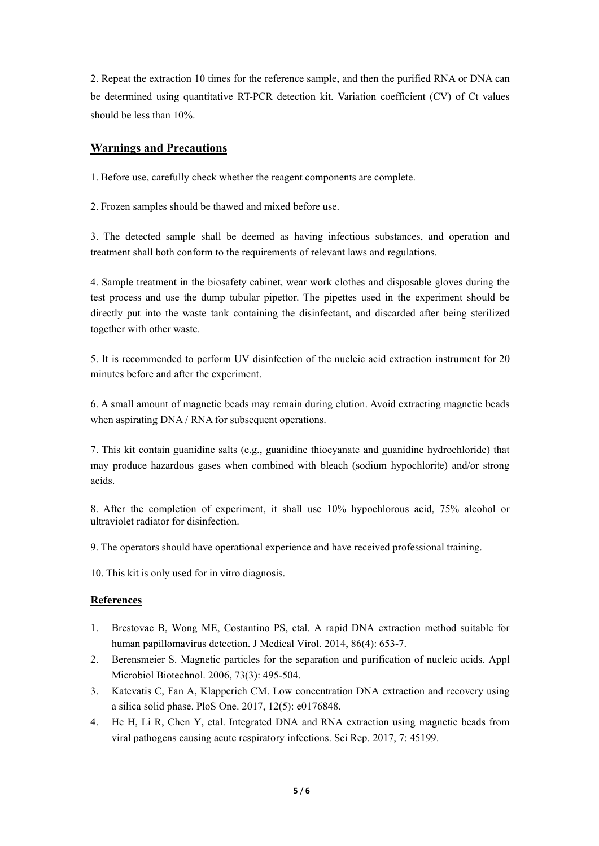2. Repeat the extraction 10 times for the reference sample, and then the purified RNA or DNA can be determined using quantitative RT-PCR detection kit. Variation coefficient (CV) of Ct values should be less than 10%.

# **Warnings and Precautions**

1. Before use, carefully check whether the reagent components are complete.

2. Frozen samples should be thawed and mixed before use.

3. The detected sample shall be deemed as having infectious substances, and operation and treatment shall both conform to the requirements of relevant laws and regulations.

4. Sample treatment in the biosafety cabinet, wear work clothes and disposable gloves during the test process and use the dump tubular pipettor. The pipettes used in the experiment should be directly put into the waste tank containing the disinfectant, and discarded after being sterilized together with other waste.

5. It is recommended to perform UV disinfection of the nucleic acid extraction instrument for 20 minutes before and after the experiment.

6. A small amount of magnetic beads may remain during elution. Avoid extracting magnetic beads when aspirating DNA / RNA for subsequent operations.

7. This kit contain guanidine salts (e.g., guanidine thiocyanate and guanidine hydrochloride) that may produce hazardous gases when combined with bleach (sodium hypochlorite) and/or strong acids.

8. After the completion of experiment, it shall use 10% hypochlorous acid, 75% alcohol or ultraviolet radiator for disinfection.

9. The operators should have operational experience and have received professional training.

10. This kit is only used for in vitro diagnosis.

#### **References**

- 1. Brestovac B, Wong ME, Costantino PS, etal. A rapid DNA extraction method suitable for human papillomavirus detection. J Medical Virol. 2014, 86(4): 653-7.
- 2. Berensmeier S. Magnetic particles for the separation and purification of nucleic acids. Appl Microbiol Biotechnol. 2006, 73(3): 495-504.
- 3. Katevatis C, Fan A, Klapperich CM. Low concentration DNA extraction and recovery using a silica solid phase. PloS One. 2017, 12(5): e0176848.
- 4. He H, Li R, Chen Y, etal. Integrated DNA and RNA extraction using magnetic beads from viral pathogens causing acute respiratory infections. Sci Rep. 2017, 7: 45199.